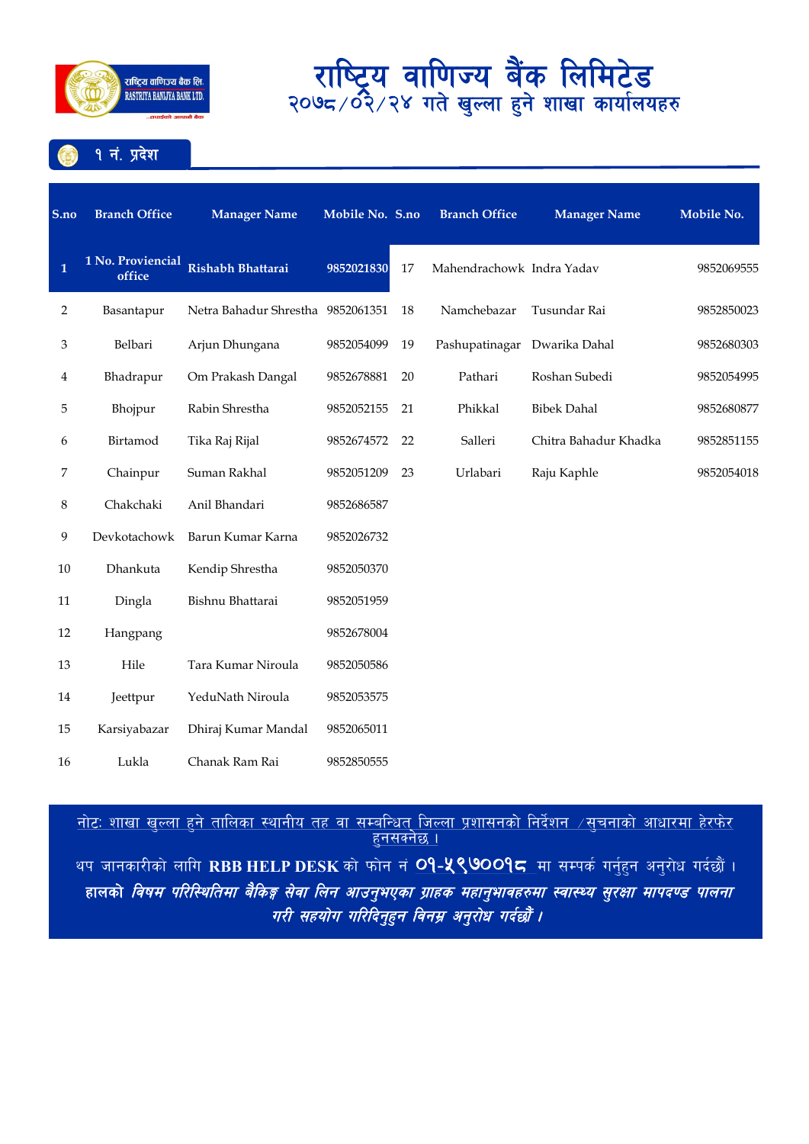

१ नं. प्रदेश

| S.no         | <b>Branch Office</b>        | <b>Manager Name</b>               | Mobile No. S.no |    | <b>Branch Office</b>      | <b>Manager Name</b>   | Mobile No. |
|--------------|-----------------------------|-----------------------------------|-----------------|----|---------------------------|-----------------------|------------|
| $\mathbf{1}$ | 1 No. Proviencial<br>office | Rishabh Bhattarai                 | 9852021830      | 17 | Mahendrachowk Indra Yadav |                       | 9852069555 |
| 2            | Basantapur                  | Netra Bahadur Shrestha 9852061351 |                 | 18 | Namchebazar               | Tusundar Rai          | 9852850023 |
| 3            | Belbari                     | Arjun Dhungana                    | 9852054099      | 19 | Pashupatinagar            | Dwarika Dahal         | 9852680303 |
| 4            | Bhadrapur                   | Om Prakash Dangal                 | 9852678881      | 20 | Pathari                   | Roshan Subedi         | 9852054995 |
| 5            | Bhojpur                     | Rabin Shrestha                    | 9852052155      | 21 | Phikkal                   | <b>Bibek Dahal</b>    | 9852680877 |
| 6            | Birtamod                    | Tika Raj Rijal                    | 9852674572      | 22 | Salleri                   | Chitra Bahadur Khadka | 9852851155 |
| 7            | Chainpur                    | Suman Rakhal                      | 9852051209      | 23 | Urlabari                  | Raju Kaphle           | 9852054018 |
| 8            | Chakchaki                   | Anil Bhandari                     | 9852686587      |    |                           |                       |            |
| 9            | Devkotachowk                | Barun Kumar Karna                 | 9852026732      |    |                           |                       |            |
| 10           | Dhankuta                    | Kendip Shrestha                   | 9852050370      |    |                           |                       |            |
| 11           | Dingla                      | Bishnu Bhattarai                  | 9852051959      |    |                           |                       |            |
| 12           | Hangpang                    |                                   | 9852678004      |    |                           |                       |            |
| 13           | Hile                        | Tara Kumar Niroula                | 9852050586      |    |                           |                       |            |
| 14           | Jeettpur                    | YeduNath Niroula                  | 9852053575      |    |                           |                       |            |
| 15           | Karsiyabazar                | Dhiraj Kumar Mandal               | 9852065011      |    |                           |                       |            |
| 16           | Lukla                       | Chanak Ram Rai                    | 9852850555      |    |                           |                       |            |

#### <u>नाटः शाखा खुल्ला हुन ताालका स्थानाय तह वा सम्बान्धत् जिल्ला प्रशासनका निदेशन ⁄सुचनाका आधारमा हरफर </u> <u>हुनसक्नछ ।</u> थप जानकारीको लागि RBB HELP DESK को फोन नं <mark>O9-५९७००१८</mark> मा सम्पर्क गर्नुहुन अनुरोध गर्दछौं । हालको *विषम परिस्थितिमा बैकिङ्ग सेवा लिन आउनुभएका ग्राहक महानुभावहरुमा स्वास्थ्य सुरक्षा मापदण्ड पालना* गरी सहयोग गरिदिनुहन विनम्र अनुरोध गर्दछौं ।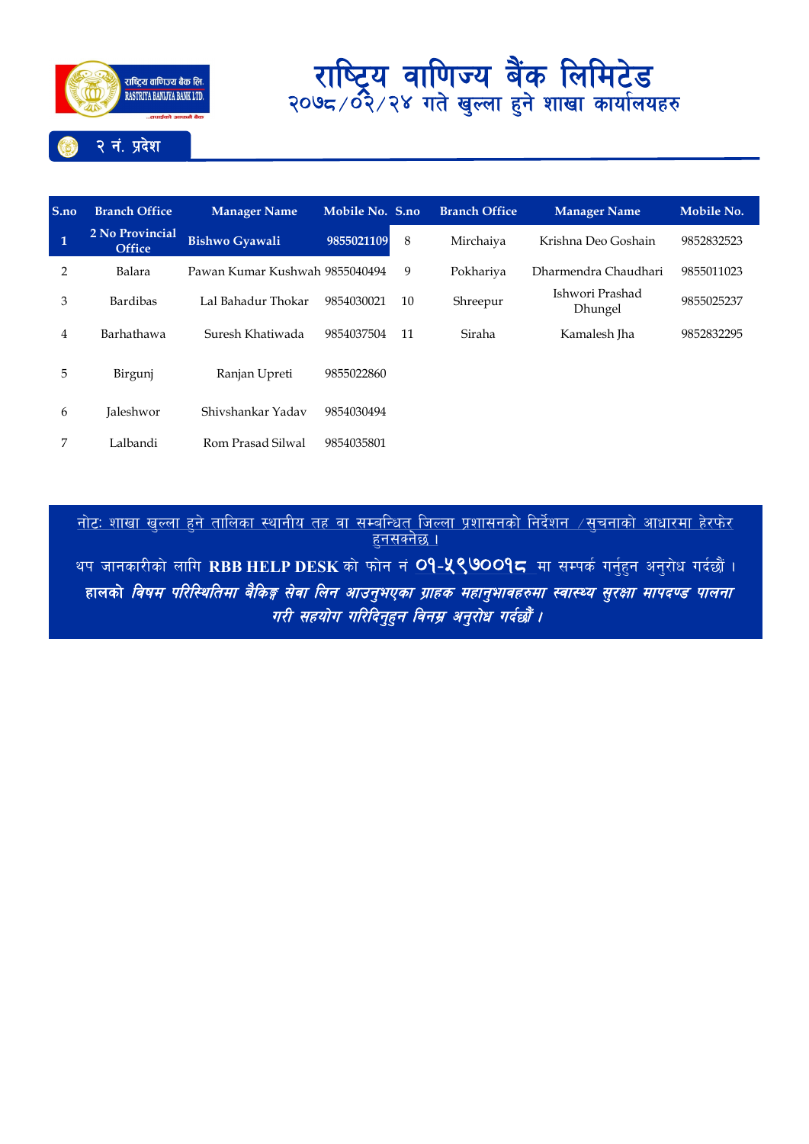

### **S.no Branch Office Manager Name Mobile No. S.no Branch Office Manager Name Mobile No. 1 2 No Provincial Office Bishwo Gyawali <sup>9855021109</sup>** <sup>8</sup> Mirchaiya Krishna Deo Goshain <sup>9852832523</sup> 2 Balara Pawan Kumar Kushwah 9855040494 9 Pokhariya Dharmendra Chaudhari 9855011023 <sup>3</sup> Bardibas Lal Bahadur Thokar <sup>9854030021</sup> <sup>10</sup> Shreepur Ishwori Prashad 9855025237 4 Barhathawa Suresh Khatiwada 9854037504 11 Siraha Kamalesh Jha 9852832295 5 Birgunj Ranjan Upreti 9855022860 6 Jaleshwor Shivshankar Yadav 9854030494 7 Lalbandi Rom Prasad Silwal 9854035801

<u>नोटः शाखा खुल्ला हुने तालिका स्थानीय तह वा सम्बन्धित् जिल्ला प्रशासनको निर्देशन  $\neq$ सूचनाको आधारमा हेरफेर</u> <u>हनसक्नेछ ।</u>

थप जानकारीको लागि RBB HELP DESK को फोन नं **09-५९७009८** मा सम्पर्क गर्नुहन अनुरोध गर्दछौं । हालको *विषम परिस्थितिमा बैकिङ्ग सेवा लिन आउनुभएका ग्राहक महानुभावहरुमा स्वास्थ्य सुरक्षा मापदण्ड पालना* u/L ;xof]u ul/lbg"x"g ljgd| cg"/f]w ub{%f}+ .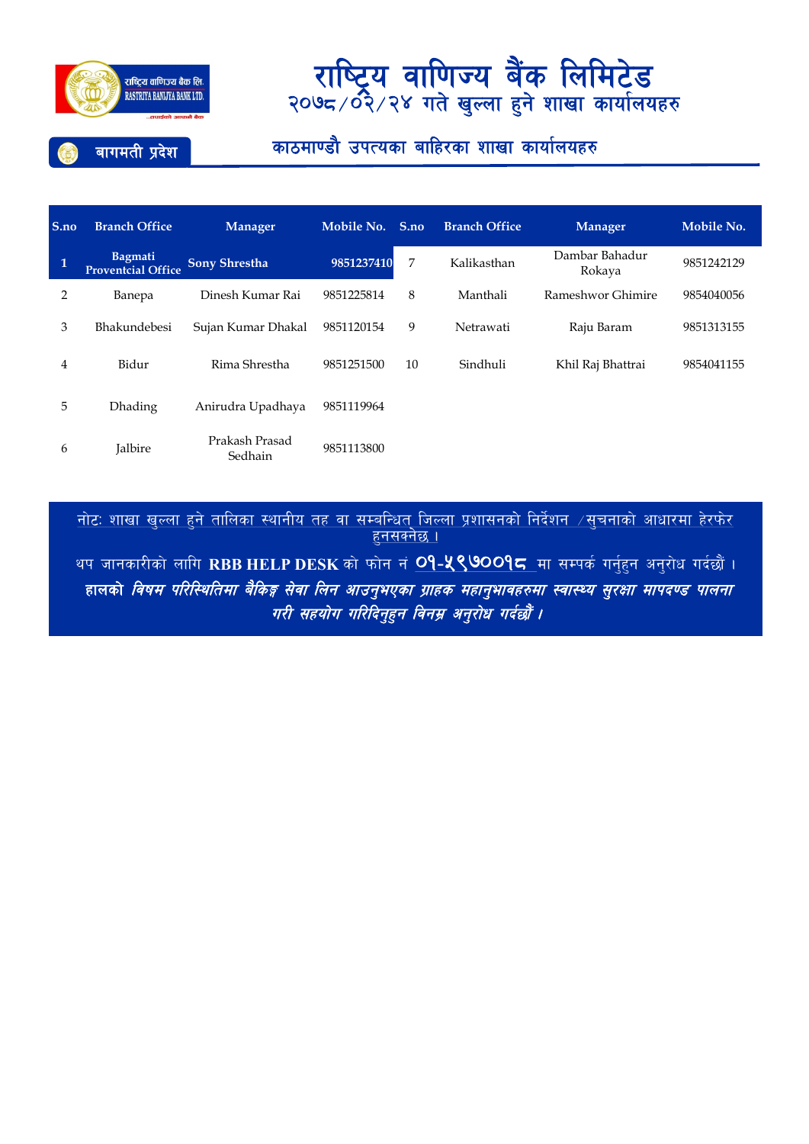

### बागमती प्रदेश

### काठमाण्डौ उपत्यका बाहिरका शाखा कार्यालयहरु

| S.no | <b>Branch Office</b>                        | Manager                   | Mobile No. | S.no | <b>Branch Office</b> | <b>Manager</b>           | Mobile No. |
|------|---------------------------------------------|---------------------------|------------|------|----------------------|--------------------------|------------|
| 1    | <b>Bagmati</b><br><b>Proventcial Office</b> | <b>Sony Shrestha</b>      | 9851237410 | 7    | Kalikasthan          | Dambar Bahadur<br>Rokaya | 9851242129 |
| 2    | Banepa                                      | Dinesh Kumar Rai          | 9851225814 | 8    | Manthali             | Rameshwor Ghimire        | 9854040056 |
| 3    | <b>Bhakundebesi</b>                         | Sujan Kumar Dhakal        | 9851120154 | 9    | Netrawati            | Raju Baram               | 9851313155 |
| 4    | Bidur                                       | Rima Shrestha             | 9851251500 | 10   | Sindhuli             | Khil Raj Bhattrai        | 9854041155 |
| 5    | <b>Dhading</b>                              | Anirudra Upadhaya         | 9851119964 |      |                      |                          |            |
| 6    | Jalbire                                     | Prakash Prasad<br>Sedhain | 9851113800 |      |                      |                          |            |

<u>नोटः शाखा खल्ला हने तालिका स्थानीय तह वा सम्बन्धित जिल्ला प्रशासनको निर्देशन  $\neq$ सूचनाको आधारमा हेरफेर</u> <u>हनसक्नेछ ।</u>

थप जानकारीको लागि RBB HELP DESK को फोन नं <mark>O9-५९७OO9८</mark> मा सम्पर्क गर्नुहुन अनुरोध गर्दछौं । हालको *विषम परिस्थितिमा बैकिङ्ग सेवा लिन आउनुभएका ग्राहक महानुभावहरुमा स्वास्थ्य सुरक्षा मापदण्ड पालना* गरी सहयोग गरिदिनुहुन विनम्र अनुरोध गर्दछौँ ।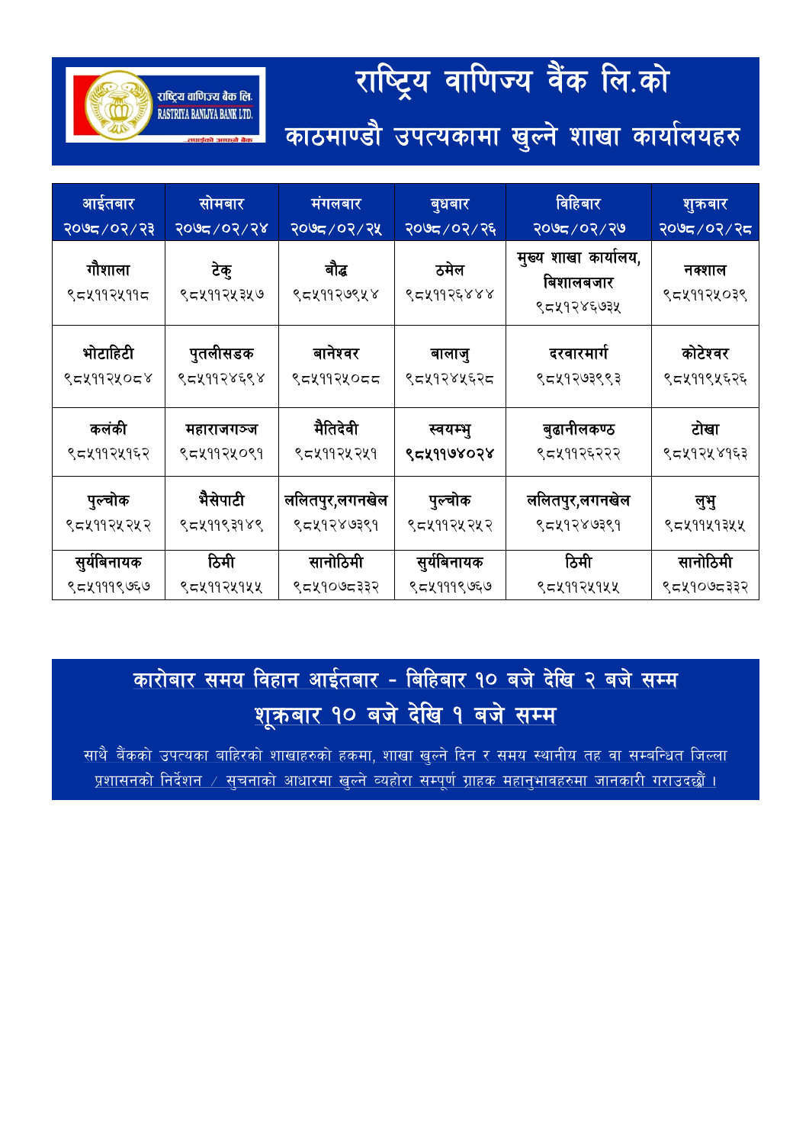# राष्ट्रिय वाणिज्य वैंक लि.को

राष्ट्रिय वाणिज्य बैंक लि RASTRIYA BANLJYA BANK LTD.

काठमाण्डौ उपत्यकामा खुल्ने शाखा कार्यालयहरु

आईतबार २०७८/०२/२३ सोमबार 2078÷02÷24 मंगलबार २०७८/०२/२५ बुधबार २०७८/०२/२६ विहिबार <mark>२०७द</mark> ⁄ ०२ ⁄ २७ शुक्रबार २०७८/०२/२८ गौशाला ९८४११२४११८ टेक् ९८५११२५७ बौद्ध ९८४११२७९५४ ठमेल ९८५११२६४४ मुख्य शाखा कार्यालय, विशालबजार ९८५१२४६७३५ नक्शाल ९८४११२५०३९ भोटाहिटी ९८५११२५०८४ पुतलीसडक ९८५११२४६९४ वानेश्वर १८५११२५०८८ बालाजु ९८५१२४५६२८ दरवारमार्ग ९८५१२७३९९३ कोटेश्वर ९८४११९५६२६ कलंकी ९८४११२५१६२ महाराजगञ्ज ९८४११२४०९१ मैतिदेवी ९८४११२५१ स्वयम्भु १८४११७४०२४ बुढानीलकण्ठ ९८५११२६२२२ टोखा ९८५१२५४१६३ पुल्चोक ९८५११२५२ भैसेपाटी ९८५११९३१४९ ललितपुर,लगनखेल ९८५१२४७३९१ पुल्चोक ९८५११२५२ ललितपुर,लगनखेल ९८५१२४७३९१ लुभु ९८४११५१३५५ सुर्यविनायक ९८५१११९७६७ ਠਿਸੀ ९८४११२५१ सानोठिमी ९८५१०७८३३२ सुर्यबिनायक ९८५१११९७६७ ਠਿਸੀ ९८४११२५१४ सानोठिमी ९८५१०७८३३२

## <u>कारोबार समय विहान आईतबार - बिहिबार १० बजे देखि २ बजे सम्म</u> <u>शूक्रबार १० बजे देखि १ बजे सम्म</u>

<u>साथै बैंकको उपत्यका बाहिरको शाखाहरुको हकमा, शाखा खल्ने दिन र समय स्थानीय तह वा सम्बन्धित जिल्ला</u> <u>प्रशासनको निर्देशन ⁄ सुचनाको आधारमा खुल्ने व्यहोरा सम्पूर्ण ग्राहक महानुभावहरुमा जानकारी गराउदछौं ।</u>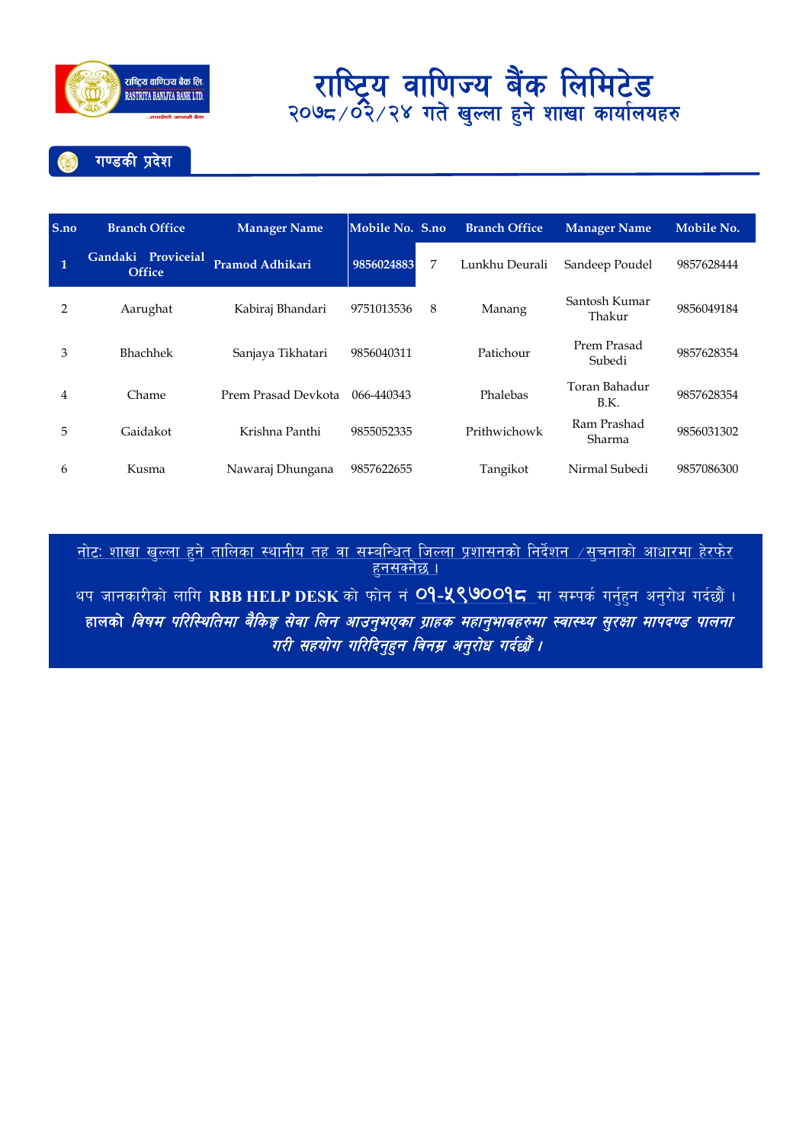

## राष्ट्रिय वाणिज्य बक लिमिटड<br>"पुलि अधिको पुल्क रो शास सार्कि २०७८/०२/२४ गत खुल्ला हुन शाखा कायालयहरु

गण्डकी प्रदेश

| S.no | <b>Branch Office</b>                | <b>Manager Name</b>    | Mobile No. S.no |   | <b>Branch Office</b> | <b>Manager Name</b>     | Mobile No. |
|------|-------------------------------------|------------------------|-----------------|---|----------------------|-------------------------|------------|
| 1    | Gandaki Proviceial<br><b>Office</b> | <b>Pramod Adhikari</b> | 9856024883      | 7 | Lunkhu Deurali       | Sandeep Poudel          | 9857628444 |
| 2    | Aarughat                            | Kabiraj Bhandari       | 9751013536      | 8 | Manang               | Santosh Kumar<br>Thakur | 9856049184 |
| 3    | <b>Bhachhek</b>                     | Sanjaya Tikhatari      | 9856040311      |   | Patichour            | Prem Prasad<br>Subedi   | 9857628354 |
| 4    | Chame                               | Prem Prasad Devkota    | 066-440343      |   | Phalebas             | Toran Bahadur<br>B.K.   | 9857628354 |
| 5    | Gaidakot                            | Krishna Panthi         | 9855052335      |   | Prithwichowk         | Ram Prashad<br>Sharma   | 9856031302 |
| 6    | Kusma                               | Nawaraj Dhungana       | 9857622655      |   | Tangikot             | Nirmal Subedi           | 9857086300 |

<u>नोटः शाखा खुल्ला हुने तालिका स्थानीय तह वा सम्बन्धित् जिल्ला प्रशासनको निर्देशन  $\neq$ सुचनाको आधारमा हेरफेर </u> हनसक्नेछ ।

थप जानकारीको लागि RBB HELP DESK को फोन नं <mark>O9-<mark>५९७</mark>00<mark>9८</mark> मा सम्पर्क गर्नुहुन अनुरोध गर्दछौं ।</mark> हालको *विषम परिस्थितिमा बैकिङ्ग सेवा लिन आउनुभएका ग्राहक महानुभावहरुमा स्वास्थ्य सुरक्षा मापदण्ड पालना* गरी सहयोग गरिदिनुहन विनम्र अनुरोध गर्दछौं ।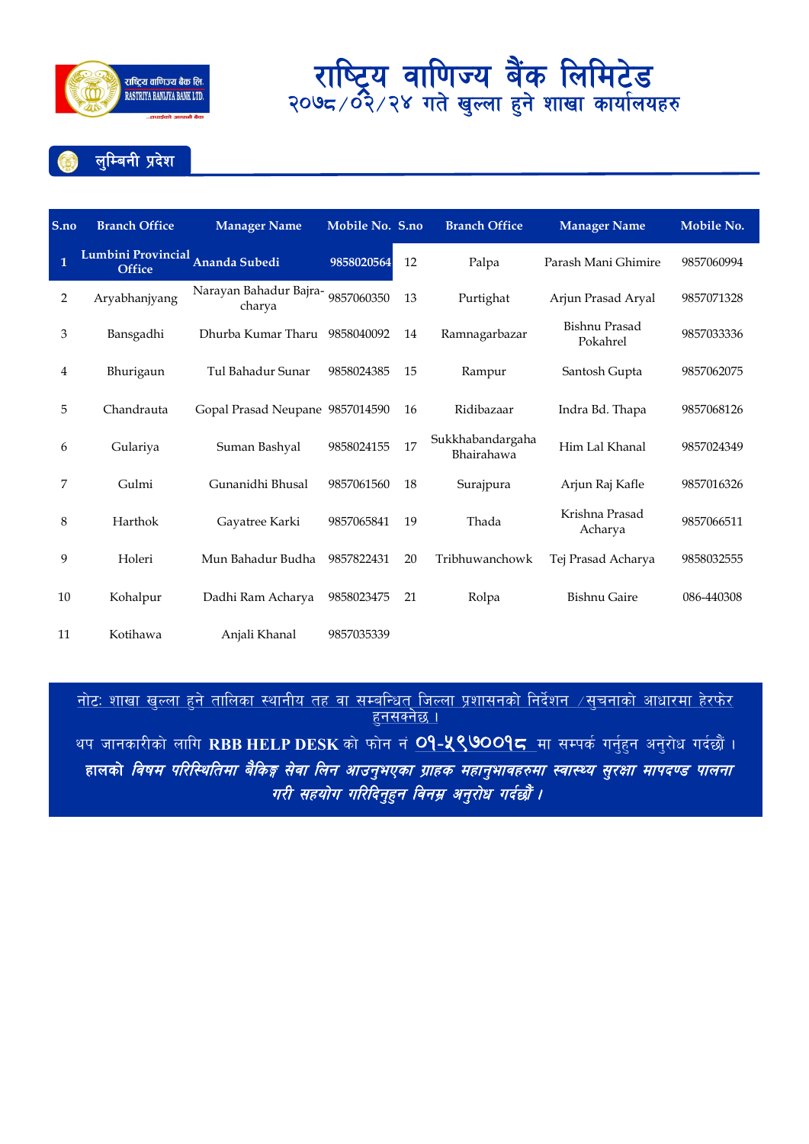

लुम्बिनी प्रदेश

| S.no         | <b>Branch Office</b>                | <b>Manager Name</b>                         | Mobile No. S.no |    | <b>Branch Office</b>           | <b>Manager Name</b>       | Mobile No. |
|--------------|-------------------------------------|---------------------------------------------|-----------------|----|--------------------------------|---------------------------|------------|
| $\mathbf{1}$ | Lumbini Provincial<br><b>Office</b> | Ananda Subedi                               | 9858020564      | 12 | Palpa                          | Parash Mani Ghimire       | 9857060994 |
| 2            | Aryabhanjyang                       | Narayan Bahadur Bajra- 9857060350<br>charya |                 | 13 | Purtighat                      | Arjun Prasad Aryal        | 9857071328 |
| 3            | Bansgadhi                           | Dhurba Kumar Tharu                          | 9858040092      | 14 | Ramnagarbazar                  | Bishnu Prasad<br>Pokahrel | 9857033336 |
| 4            | Bhurigaun                           | Tul Bahadur Sunar                           | 9858024385      | 15 | Rampur                         | Santosh Gupta             | 9857062075 |
| 5            | Chandrauta                          | Gopal Prasad Neupane 9857014590             |                 | 16 | Ridibazaar                     | Indra Bd. Thapa           | 9857068126 |
| 6            | Gulariya                            | Suman Bashyal                               | 9858024155      | 17 | Sukkhabandargaha<br>Bhairahawa | Him Lal Khanal            | 9857024349 |
| 7            | Gulmi                               | Gunanidhi Bhusal                            | 9857061560      | 18 | Surajpura                      | Arjun Raj Kafle           | 9857016326 |
| 8            | Harthok                             | Gayatree Karki                              | 9857065841      | 19 | Thada                          | Krishna Prasad<br>Acharya | 9857066511 |
| 9            | Holeri                              | Mun Bahadur Budha                           | 9857822431      | 20 | Tribhuwanchowk                 | Tej Prasad Acharya        | 9858032555 |
| 10           | Kohalpur                            | Dadhi Ram Acharya                           | 9858023475      | 21 | Rolpa                          | <b>Bishnu Gaire</b>       | 086-440308 |
| 11           | Kotihawa                            | Anjali Khanal                               | 9857035339      |    |                                |                           |            |

<u>नाटः शाखा खुल्ला हुन ताालका स्थानाय तह वा सम्बान्धत् जिल्ला प्रशासनका निदशन ⁄सुचनाका आधारमा हरफर</u> । <u>हुनसक्नछ ।</u>

थप जानकारीको लागि RBB HELP DESK को फोन नं <mark>O9-<mark>५९७</mark>00<mark>9⊂</mark> मा सम्पर्क गर्नुहुन अनुरोध गर्दछौं ।</mark> हालक<mark>ो *विषम परिस्थितिमा बैकिङ्ग सेवा लिन आउनुभएका ग्राहक महानुभावहरुमा स्वास्थ्य सुरक्षा मापदण्ड पालना*</mark> गरी सहयोग गरिदिनुहन विनम्र अनुरोध गर्दछौं ।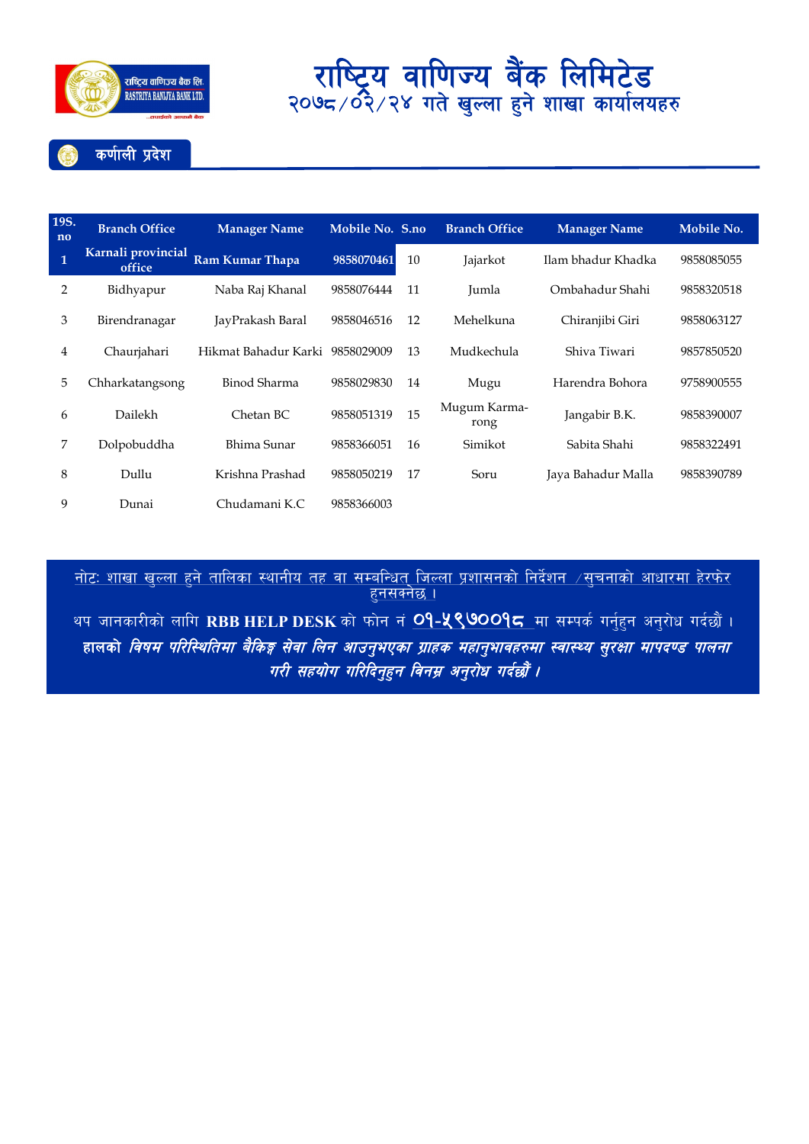

कर्णाली प्रदेश

| 19S.<br>no   | <b>Branch Office</b>         | <b>Manager Name</b>             | Mobile No. S.no |    | <b>Branch Office</b> | <b>Manager Name</b> | Mobile No. |
|--------------|------------------------------|---------------------------------|-----------------|----|----------------------|---------------------|------------|
| $\mathbf{1}$ | Karnali provincial<br>office | Ram Kumar Thapa                 | 9858070461      | 10 | Jajarkot             | Ilam bhadur Khadka  | 9858085055 |
| 2            | Bidhyapur                    | Naba Raj Khanal                 | 9858076444      | 11 | Jumla                | Ombahadur Shahi     | 9858320518 |
| 3            | Birendranagar                | JayPrakash Baral                | 9858046516      | 12 | Mehelkuna            | Chiranjibi Giri     | 9858063127 |
| 4            | Chaurjahari                  | Hikmat Bahadur Karki 9858029009 |                 | 13 | Mudkechula           | Shiva Tiwari        | 9857850520 |
| 5            | Chharkatangsong              | Binod Sharma                    | 9858029830      | 14 | Mugu                 | Harendra Bohora     | 9758900555 |
| 6            | Dailekh                      | Chetan BC                       | 9858051319      | 15 | Mugum Karma-<br>rong | Jangabir B.K.       | 9858390007 |
| 7            | Dolpobuddha                  | Bhima Sunar                     | 9858366051      | 16 | Simikot              | Sabita Shahi        | 9858322491 |
| 8            | Dullu                        | Krishna Prashad                 | 9858050219      | 17 | Soru                 | Jaya Bahadur Malla  | 9858390789 |
| 9            | Dunai                        | Chudamani K.C                   | 9858366003      |    |                      |                     |            |

<u>नाटः शाखा खुल्ला हुन ताालका स्थानाय तह वा सम्बान्धत् जिल्ला प्रशासनका निदशन ⁄ सुचनाका आधारमा हरफर</u> <sub>:</sub> <u>हुनसक्नछ ।</u>

थप जानकारीको लागि RBB HELP DESK को फोन नं <mark>O9-५९७००१८</mark> मा सम्पर्क गर्नुहुन अनुरोध गर्दछौं । हालको *विषम परिस्थितिमा बैकिङ्ग सेवा लिन आउनुभएका ग्राहक महानुभावहरुमा स्वास्थ्य सुरक्षा मापदण्ड पालना* गरी सहयोग गरिदिनुहुन विनम्र अनुरोध गर्दछौं ।